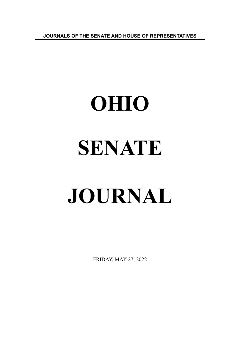**JOURNALS OF THE SENATE AND HOUSE OF REPRESENTATIVES**

# **OHIO SENATE JOURNAL**

FRIDAY, MAY 27, 2022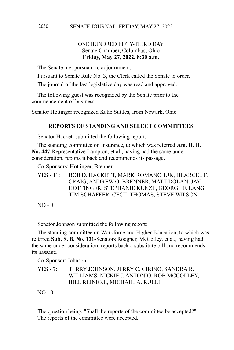#### ONE HUNDRED FIFTY-THIRD DAY Senate Chamber, Columbus, Ohio **Friday, May 27, 2022, 8:30 a.m.**

The Senate met pursuant to adjournment.

Pursuant to Senate Rule No. 3, the Clerk called the Senate to order.

The journal of the last legislative day was read and approved.

The following guest was recognized by the Senate prior to the commencement of business:

Senator Hottinger recognized Katie Suttles, from Newark, Ohio

## **REPORTS OF STANDING AND SELECT COMMITTEES**

Senator Hackett submitted the following report:

The standing committee on Insurance, to which was referred **Am. H. B. No. 447-**Representative Lampton, et al., having had the same under consideration, reports it back and recommends its passage.

Co-Sponsors: Hottinger, Brenner.

YES - 11: BOB D. HACKETT, MARK ROMANCHUK, HEARCEL F. CRAIG, ANDREW O. BRENNER, MATT DOLAN, JAY HOTTINGER, STEPHANIE KUNZE, GEORGE F. LANG, TIM SCHAFFER, CECIL THOMAS, STEVE WILSON

 $NO - 0$ 

Senator Johnson submitted the following report:

The standing committee on Workforce and Higher Education, to which was referred **Sub. S. B. No. 131-**Senators Roegner, McColley, et al., having had the same under consideration, reports back a substitute bill and recommends its passage.

Co-Sponsor: Johnson.

YES - 7: TERRY JOHNSON, JERRY C. CIRINO, SANDRA R. WILLIAMS, NICKIE J. ANTONIO, ROB MCCOLLEY, BILL REINEKE, MICHAEL A. RULLI

NO - 0.

The question being, "Shall the reports of the committee be accepted?" The reports of the committee were accepted.

2050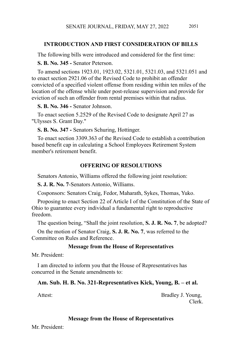## **INTRODUCTION AND FIRST CONSIDERATION OF BILLS**

The following bills were introduced and considered for the first time:

**S. B. No. 345 -** Senator Peterson.

To amend sections 1923.01, 1923.02, 5321.01, 5321.03, and 5321.051 and to enact section 2921.06 of the Revised Code to prohibit an offender convicted of a specified violent offense from residing within ten miles of the location of the offense while under post-release supervision and provide for eviction of such an offender from rental premises within that radius.

**S. B. No. 346 -** Senator Johnson.

To enact section 5.2529 of the Revised Code to designate April 27 as "Ulysses S. Grant Day."

**S. B. No. 347 -** Senators Schuring, Hottinger.

To enact section 3309.363 of the Revised Code to establish a contribution based benefit cap in calculating a School Employees Retirement System member's retirement benefit.

#### **OFFERING OF RESOLUTIONS**

Senators Antonio, Williams offered the following joint resolution:

**S. J. R. No. 7**-Senators Antonio, Williams.

Cosponsors: Senators Craig, Fedor, Maharath, Sykes, Thomas, Yuko.

Proposing to enact Section 22 of Article I of the Constitution of the State of Ohio to guarantee every individual a fundamental right to reproductive freedom.

The question being, "Shall the joint resolution, **S. J. R. No. 7**, be adopted?

On the motion of Senator Craig, **S. J. R. No. 7**, was referred to the Committee on Rules and Reference.

#### **Message from the House of Representatives**

Mr. President:

I am directed to inform you that the House of Representatives has concurred in the Senate amendments to:

#### **Am. Sub. H. B. No. 321-Representatives Kick, Young, B. – et al.**

Attest: Bradley J. Young, Clerk.

#### **Message from the House of Representatives**

Mr. President: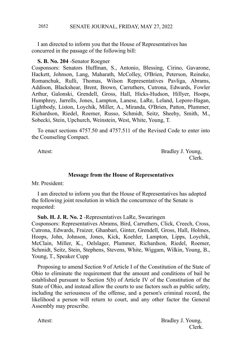#### SENATE JOURNAL, FRIDAY, MAY 27, 2022 2052

I am directed to inform you that the House of Representatives has concurred in the passage of the following bill:

#### **S. B. No. 204** -Senator Roegner

Cosponsors: Senators Huffman, S., Antonio, Blessing, Cirino, Gavarone, Hackett, Johnson, Lang, Maharath, McColley, O'Brien, Peterson, Reineke, Romanchuk, Rulli, Thomas, Wilson Representatives Pavliga, Abrams, Addison, Blackshear, Brent, Brown, Carruthers, Cutrona, Edwards, Fowler Arthur, Galonski, Grendell, Gross, Hall, Hicks-Hudson, Hillyer, Hoops, Humphrey, Jarrells, Jones, Lampton, Lanese, LaRe, Leland, Lepore-Hagan, Lightbody, Liston, Loychik, Miller, A., Miranda, O'Brien, Patton, Plummer, Richardson, Riedel, Roemer, Russo, Schmidt, Seitz, Sheehy, Smith, M., Sobecki, Stein, Upchurch, Weinstein, West, White, Young, T.

To enact sections 4757.50 and 4757.511 of the Revised Code to enter into the Counseling Compact.

Attest: Bradley J. Young, Clerk.

#### **Message from the House of Representatives**

Mr. President:

I am directed to inform you that the House of Representatives has adopted the following joint resolution in which the concurrence of the Senate is requested:

**Sub. H. J. R. No. 2** -Representatives LaRe, Swearingen

Cosponsors: Representatives Abrams, Bird, Carruthers, Click, Creech, Cross, Cutrona, Edwards, Fraizer, Ghanbari, Ginter, Grendell, Gross, Hall, Holmes, Hoops, John, Johnson, Jones, Kick, Koehler, Lampton, Lipps, Loychik, McClain, Miller, K., Oelslager, Plummer, Richardson, Riedel, Roemer, Schmidt, Seitz, Stein, Stephens, Stevens, White, Wiggam, Wilkin, Young, B., Young, T., Speaker Cupp

Proposing to amend Section 9 of Article I of the Constitution of the State of Ohio to eliminate the requirement that the amount and conditions of bail be established pursuant to Section 5(b) of Article IV of the Constitution of the State of Ohio, and instead allow the courts to use factors such as public safety, including the seriousness of the offense, and a person's criminal record, the likelihood a person will return to court, and any other factor the General Assembly may prescribe.

Attest: Bradley J. Young, Clerk.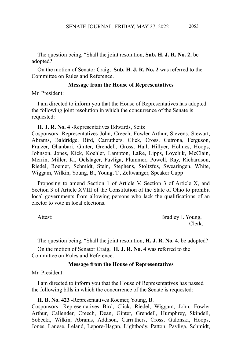The question being, "Shall the joint resolution, **Sub. H. J. R. No. 2**, be adopted?

On the motion of Senator Craig, **Sub. H. J. R. No. 2** was referred to the Committee on Rules and Reference.

#### **Message from the House of Representatives**

Mr. President:

I am directed to inform you that the House of Representatives has adopted the following joint resolution in which the concurrence of the Senate is requested:

**H. J. R. No. 4** -Representatives Edwards, Seitz

Cosponsors: Representatives John, Creech, Fowler Arthur, Stevens, Stewart, Abrams, Baldridge, Bird, Carruthers, Click, Cross, Cutrona, Ferguson, Fraizer, Ghanbari, Ginter, Grendell, Gross, Hall, Hillyer, Holmes, Hoops, Johnson, Jones, Kick, Koehler, Lampton, LaRe, Lipps, Loychik, McClain, Merrin, Miller, K., Oelslager, Pavliga, Plummer, Powell, Ray, Richardson, Riedel, Roemer, Schmidt, Stein, Stephens, Stoltzfus, Swearingen, White, Wiggam, Wilkin, Young, B., Young, T., Zeltwanger, Speaker Cupp

Proposing to amend Section 1 of Article V, Section 3 of Article X, and Section 3 of Article XVIII of the Constitution of the State of Ohio to prohibit local governments from allowing persons who lack the qualifications of an elector to vote in local elections.

Attest: Bradley J. Young, Clerk.

The question being, "Shall the joint resolution, **H. J. R. No. 4**, be adopted?

On the motion of Senator Craig, **H. J. R. No. 4** was referred to the Committee on Rules and Reference.

#### **Message from the House of Representatives**

Mr. President:

I am directed to inform you that the House of Representatives has passed the following bills in which the concurrence of the Senate is requested:

**H. B. No. 423** -Representatives Roemer, Young, B.

Cosponsors: Representatives Bird, Click, Riedel, Wiggam, John, Fowler Arthur, Callender, Creech, Dean, Ginter, Grendell, Humphrey, Skindell, Sobecki, Wilkin, Abrams, Addison, Carruthers, Cross, Galonski, Hoops, Jones, Lanese, Leland, Lepore-Hagan, Lightbody, Patton, Pavliga, Schmidt,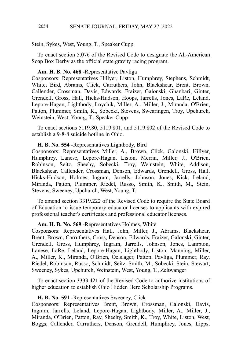#### Stein, Sykes, West, Young, T., Speaker Cupp

To enact section 5.076 of the Revised Code to designate the All-American Soap Box Derby as the official state gravity racing program.

#### **Am. H. B. No. 468** -Representative Pavliga

Cosponsors: Representatives Hillyer, Liston, Humphrey, Stephens, Schmidt, White, Bird, Abrams, Click, Carruthers, John, Blackshear, Brent, Brown, Callender, Crossman, Davis, Edwards, Fraizer, Galonski, Ghanbari, Ginter, Grendell, Gross, Hall, Hicks-Hudson, Hoops, Jarrells, Jones, LaRe, Leland, Lepore-Hagan, Lightbody, Loychik, Miller, A., Miller, J., Miranda, O'Brien, Patton, Plummer, Smith, K., Sobecki, Stevens, Swearingen, Troy, Upchurch, Weinstein, West, Young, T., Speaker Cupp

To enact sections 5119.80, 5119.801, and 5119.802 of the Revised Code to establish a 9-8-8 suicide hotline in Ohio.

#### **H. B. No. 554** -Representatives Lightbody, Bird

Cosponsors: Representatives Miller, A., Brown, Click, Galonski, Hillyer, Humphrey, Lanese, Lepore-Hagan, Liston, Merrin, Miller, J., O'Brien, Robinson, Seitz, Sheehy, Sobecki, Troy, Weinstein, White, Addison, Blackshear, Callender, Crossman, Denson, Edwards, Grendell, Gross, Hall, Hicks-Hudson, Holmes, Ingram, Jarrells, Johnson, Jones, Kick, Leland, Miranda, Patton, Plummer, Riedel, Russo, Smith, K., Smith, M., Stein, Stevens, Sweeney, Upchurch, West, Young, T.

To amend section 3319.222 of the Revised Code to require the State Board of Education to issue temporary educator licenses to applicants with expired professional teacher's certificates and professional educator licenses.

#### **Am. H. B. No. 569** -Representatives Holmes, White

Cosponsors: Representatives Hall, John, Miller, J., Abrams, Blackshear, Brent, Brown, Carruthers, Cross, Denson, Edwards, Fraizer, Galonski, Ginter, Grendell, Gross, Humphrey, Ingram, Jarrells, Johnson, Jones, Lampton, Lanese, LaRe, Leland, Lepore-Hagan, Lightbody, Liston, Manning, Miller, A., Miller, K., Miranda, O'Brien, Oelslager, Patton, Pavliga, Plummer, Ray, Riedel, Robinson, Russo, Schmidt, Seitz, Smith, M., Sobecki, Stein, Stewart, Sweeney, Sykes, Upchurch, Weinstein, West, Young, T., Zeltwanger

To enact section 3333.421 of the Revised Code to authorize institutions of higher education to establish Ohio Hidden Hero Scholarship Programs.

#### **H. B. No. 591** -Representatives Sweeney, Click

Cosponsors: Representatives Brent, Brown, Crossman, Galonski, Davis, Ingram, Jarrells, Leland, Lepore-Hagan, Lightbody, Miller, A., Miller, J., Miranda, O'Brien, Patton, Ray, Sheehy, Smith, K., Troy, White, Liston, West, Boggs, Callender, Carruthers, Denson, Grendell, Humphrey, Jones, Lipps,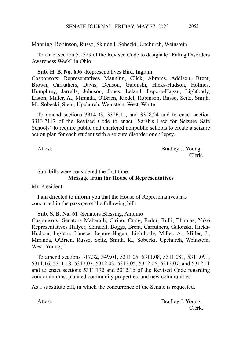Manning, Robinson, Russo, Skindell, Sobecki, Upchurch, Weinstein

To enact section 5.2529 of the Revised Code to designate "Eating Disorders Awareness Week" in Ohio.

#### **Sub. H. B. No. 606** -Representatives Bird, Ingram

Cosponsors: Representatives Manning, Click, Abrams, Addison, Brent, Brown, Carruthers, Davis, Denson, Galonski, Hicks-Hudson, Holmes, Humphrey, Jarrells, Johnson, Jones, Leland, Lepore-Hagan, Lightbody, Liston, Miller, A., Miranda, O'Brien, Riedel, Robinson, Russo, Seitz, Smith, M., Sobecki, Stein, Upchurch, Weinstein, West, White

To amend sections 3314.03, 3326.11, and 3328.24 and to enact section 3313.7117 of the Revised Code to enact "Sarah's Law for Seizure Safe Schools" to require public and chartered nonpublic schools to create a seizure action plan for each student with a seizure disorder or epilepsy.

Attest: Bradley J. Young, Clerk.

# Said bills were considered the first time.

#### **Message from the House of Representatives**

Mr. President:

I am directed to inform you that the House of Representatives has concurred in the passage of the following bill:

#### **Sub. S. B. No. 61** -Senators Blessing, Antonio

Cosponsors: Senators Maharath, Cirino, Craig, Fedor, Rulli, Thomas, Yuko Representatives Hillyer, Skindell, Boggs, Brent, Carruthers, Galonski, Hicks-Hudson, Ingram, Lanese, Lepore-Hagan, Lightbody, Miller, A., Miller, J., Miranda, O'Brien, Russo, Seitz, Smith, K., Sobecki, Upchurch, Weinstein, West, Young, T.

To amend sections 317.32, 349.01, 5311.05, 5311.08, 5311.081, 5311.091, 5311.16, 5311.18, 5312.02, 5312.03, 5312.05, 5312.06, 5312.07, and 5312.11 and to enact sections 5311.192 and 5312.16 of the Revised Code regarding condominiums, planned community properties, and new communities.

As a substitute bill, in which the concurrence of the Senate is requested.

Attest: Bradley J. Young, Clerk.